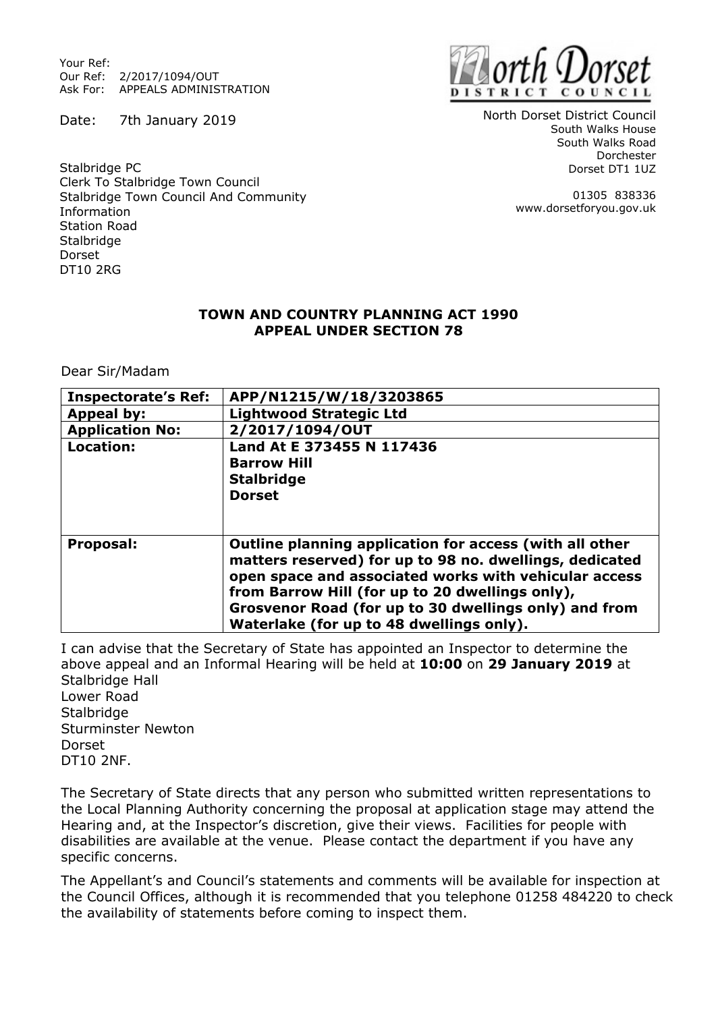Your Ref: Our Ref: 2/2017/1094/OUT Ask For: APPEALS ADMINISTRATION

Date: 7th January 2019



North Dorset District Council South Walks House South Walks Road Dorchester Dorset DT1 1UZ

> 01305 838336 www.dorsetforyou.gov.uk

Stalbridge PC Clerk To Stalbridge Town Council Stalbridge Town Council And Community Information Station Road Stalbridge Dorset DT10 2RG

## **TOWN AND COUNTRY PLANNING ACT 1990 APPEAL UNDER SECTION 78**

Dear Sir/Madam

| <b>Inspectorate's Ref:</b> | APP/N1215/W/18/3203865                                                                                                                                                                                                                                                                                                              |
|----------------------------|-------------------------------------------------------------------------------------------------------------------------------------------------------------------------------------------------------------------------------------------------------------------------------------------------------------------------------------|
| Appeal by:                 | <b>Lightwood Strategic Ltd</b>                                                                                                                                                                                                                                                                                                      |
| <b>Application No:</b>     | 2/2017/1094/OUT                                                                                                                                                                                                                                                                                                                     |
| Location:                  | Land At E 373455 N 117436<br><b>Barrow Hill</b><br><b>Stalbridge</b><br><b>Dorset</b>                                                                                                                                                                                                                                               |
| Proposal:                  | Outline planning application for access (with all other<br>matters reserved) for up to 98 no. dwellings, dedicated<br>open space and associated works with vehicular access<br>from Barrow Hill (for up to 20 dwellings only),<br>Grosvenor Road (for up to 30 dwellings only) and from<br>Waterlake (for up to 48 dwellings only). |

I can advise that the Secretary of State has appointed an Inspector to determine the above appeal and an Informal Hearing will be held at **10:00** on **29 January 2019** at Stalbridge Hall Lower Road **Stalbridge** Sturminster Newton Dorset DT10 2NF.

The Secretary of State directs that any person who submitted written representations to the Local Planning Authority concerning the proposal at application stage may attend the Hearing and, at the Inspector's discretion, give their views. Facilities for people with disabilities are available at the venue. Please contact the department if you have any specific concerns.

The Appellant's and Council's statements and comments will be available for inspection at the Council Offices, although it is recommended that you telephone 01258 484220 to check the availability of statements before coming to inspect them.